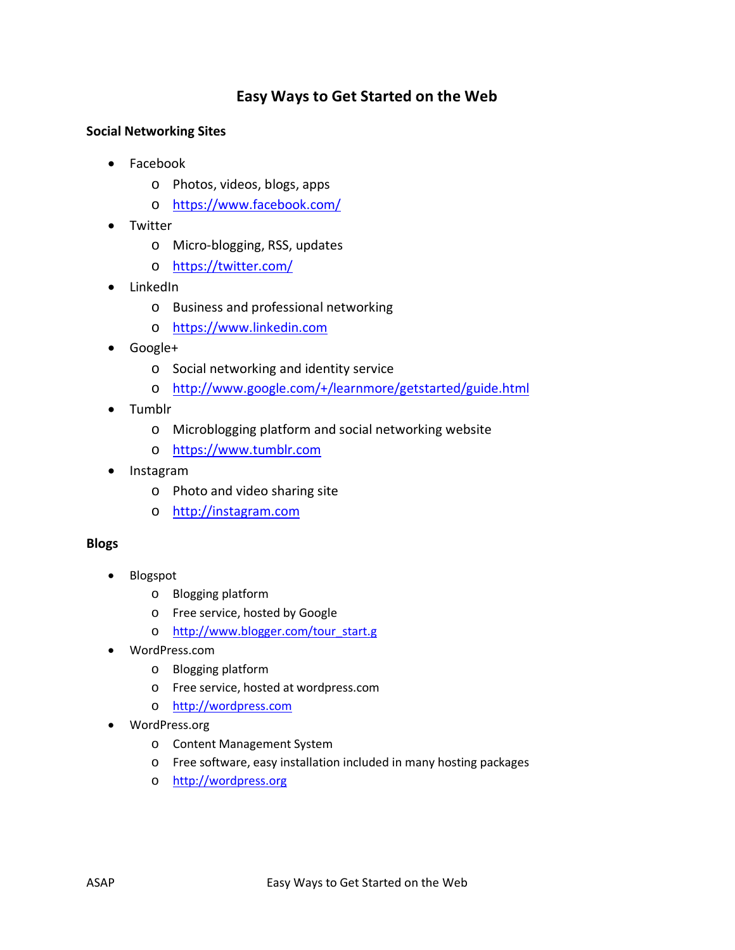## **Easy Ways to Get Started on the Web**

## **Social Networking Sites**

- Facebook
	- o Photos, videos, blogs, apps
	- o <https://www.facebook.com/>
- Twitter
	- o Micro-blogging, RSS, updates
	- o <https://twitter.com/>
- LinkedIn
	- o Business and professional networking
	- o [https://www.linkedin.com](https://www.linkedin.com/)
- Google+
	- o Social networking and identity service
	- o <http://www.google.com/+/learnmore/getstarted/guide.html>
- Tumblr
	- o Microblogging platform and social networking website
	- o [https://www.tumblr.com](https://www.tumblr.com/)
- Instagram
	- o Photo and video sharing site
	- o [http://instagram.com](http://instagram.com/)

## **Blogs**

- Blogspot
	- o Blogging platform
	- o Free service, hosted by Google
	- o [http://www.blogger.com/tour\\_start.g](http://www.blogger.com/tour_start.g)
- WordPress.com
	- o Blogging platform
	- o Free service, hosted at wordpress.com
	- o [http://wordpress.com](http://wordpress.com/)
- WordPress.org
	- o Content Management System
	- o Free software, easy installation included in many hosting packages
	- o [http://wordpress.org](http://wordpress.org/)